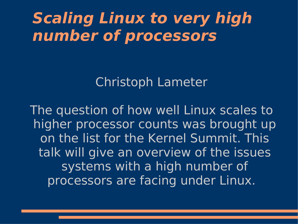### **Scaling Linux to very high number of processors**

Christoph Lameter

The question of how well Linux scales to higher processor counts was brought up on the list for the Kernel Summit. This talk will give an overview of the issues systems with a high number of processors are facing under Linux.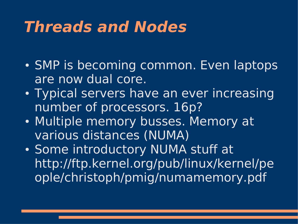### **Threads and Nodes**

- SMP is becoming common. Even laptops are now dual core.
- Typical servers have an ever increasing number of processors. 16p?
- Multiple memory busses. Memory at various distances (NUMA)
- Some introductory NUMA stuff at http://ftp.kernel.org/pub/linux/kernel/pe ople/christoph/pmig/numamemory.pdf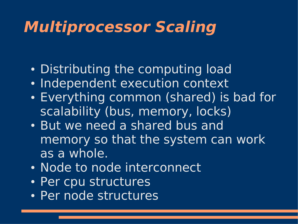# **Multiprocessor Scaling**

- Distributing the computing load
- Independent execution context
- Everything common (shared) is bad for scalability (bus, memory, locks)
- But we need a shared bus and memory so that the system can work as a whole.
- Node to node interconnect
- Per cpu structures
- Per node structures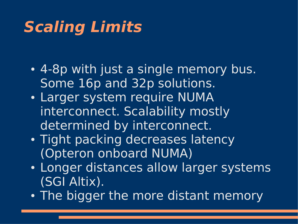# **Scaling Limits**

- 4-8p with just a single memory bus. Some 16p and 32p solutions.
- Larger system require NUMA interconnect. Scalability mostly determined by interconnect.
- Tight packing decreases latency (Opteron onboard NUMA)
- Longer distances allow larger systems (SGI Altix).
- The bigger the more distant memory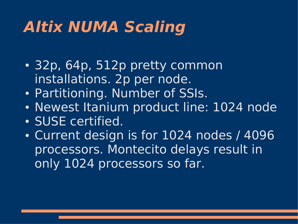# **Altix NUMA Scaling**

- 32p, 64p, 512p pretty common installations. 2p per node.
- Partitioning. Number of SSIs.
- Newest Itanium product line: 1024 node
- SUSE certified.
- Current design is for 1024 nodes / 4096 processors. Montecito delays result in only 1024 processors so far.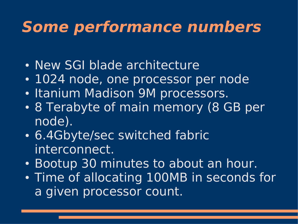### **Some performance numbers**

- New SGI blade architecture
- 1024 node, one processor per node
- Itanium Madison 9M processors.
- 8 Terabyte of main memory (8 GB per node).
- 6.4Gbyte/sec switched fabric interconnect.
- Bootup 30 minutes to about an hour.
- Time of allocating 100MB in seconds for a given processor count.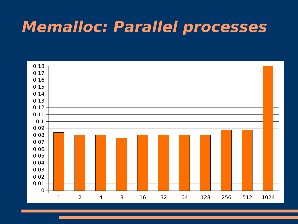### **Memalloc: Parallel processes**

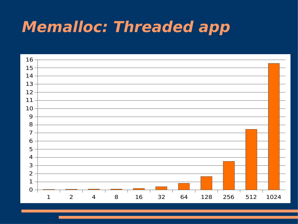# **Memalloc: Threaded app**

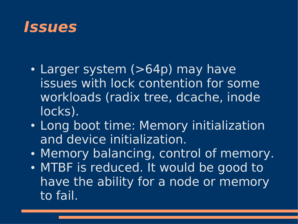#### **Issues**

- Larger system (>64p) may have issues with lock contention for some workloads (radix tree, dcache, inode locks).
- Long boot time: Memory initialization and device initialization.
- Memory balancing, control of memory.
- MTBF is reduced. It would be good to have the ability for a node or memory to fail.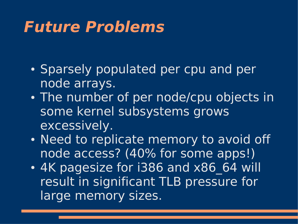### **Future Problems**

- Sparsely populated per cpu and per node arrays.
- The number of per node/cpu objects in some kernel subsystems grows excessively.
- Need to replicate memory to avoid off node access? (40% for some apps!)
- 4K pagesize for i386 and x86 64 will result in significant TLB pressure for large memory sizes.